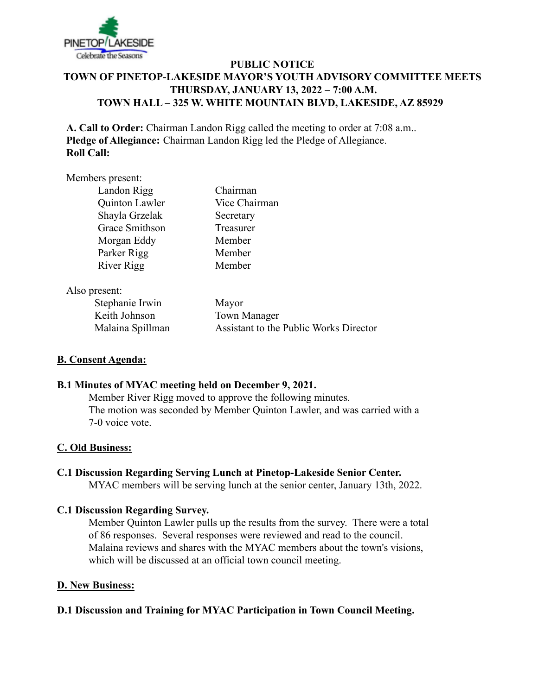

# **PUBLIC NOTICE TOWN OF PINETOP-LAKESIDE MAYOR'S YOUTH ADVISORY COMMITTEE MEETS THURSDAY, JANUARY 13, 2022 – 7:00 A.M. TOWN HALL – 325 W. WHITE MOUNTAIN BLVD, LAKESIDE, AZ 85929**

**A. Call to Order:** Chairman Landon Rigg called the meeting to order at 7:08 a.m.. **Pledge of Allegiance:** Chairman Landon Rigg led the Pledge of Allegiance. **Roll Call:**

#### Members present:

| Landon Rigg    | Chairman      |
|----------------|---------------|
| Quinton Lawler | Vice Chairman |
| Shayla Grzelak | Secretary     |
| Grace Smithson | Treasurer     |
| Morgan Eddy    | Member        |
| Parker Rigg    | Member        |
| River Rigg     | Member        |

Also present:

Stephanie Irwin Mayor Keith Johnson Town Manager

Malaina Spillman Assistant to the Public Works Director

## **B. Consent Agenda:**

## **B.1 Minutes of MYAC meeting held on December 9, 2021.**

Member River Rigg moved to approve the following minutes. The motion was seconded by Member Quinton Lawler, and was carried with a 7-0 voice vote.

## **C. Old Business:**

**C.1 Discussion Regarding Serving Lunch at Pinetop-Lakeside Senior Center.** MYAC members will be serving lunch at the senior center, January 13th, 2022.

## **C.1 Discussion Regarding Survey.**

Member Quinton Lawler pulls up the results from the survey. There were a total of 86 responses. Several responses were reviewed and read to the council. Malaina reviews and shares with the MYAC members about the town's visions, which will be discussed at an official town council meeting.

#### **D. New Business:**

## **D.1 Discussion and Training for MYAC Participation in Town Council Meeting.**